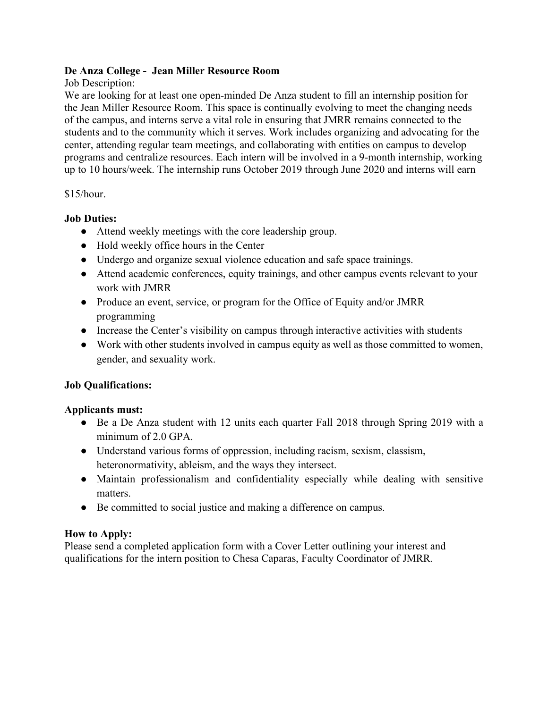# **De Anza College - Jean Miller Resource Room**

# Job Description:

We are looking for at least one open-minded De Anza student to fill an internship position for the Jean Miller Resource Room. This space is continually evolving to meet the changing needs of the campus, and interns serve a vital role in ensuring that JMRR remains connected to the students and to the community which it serves. Work includes organizing and advocating for the center, attending regular team meetings, and collaborating with entities on campus to develop programs and centralize resources. Each intern will be involved in a 9-month internship, working up to 10 hours/week. The internship runs October 2019 through June 2020 and interns will earn

## $$15/hour.$

# **Job Duties:**

- Attend weekly meetings with the core leadership group.
- Hold weekly office hours in the Center
- Undergo and organize sexual violence education and safe space trainings.
- Attend academic conferences, equity trainings, and other campus events relevant to your work with JMRR
- Produce an event, service, or program for the Office of Equity and/or JMRR programming
- Increase the Center's visibility on campus through interactive activities with students
- Work with other students involved in campus equity as well as those committed to women, gender, and sexuality work.

# **Job Qualifications:**

# **Applicants must:**

- Be a De Anza student with 12 units each quarter Fall 2018 through Spring 2019 with a minimum of 2.0 GPA.
- Understand various forms of oppression, including racism, sexism, classism, heteronormativity, ableism, and the ways they intersect.
- Maintain professionalism and confidentiality especially while dealing with sensitive matters.
- Be committed to social justice and making a difference on campus.

### **How to Apply:**

Please send a completed application form with a Cover Letter outlining your interest and qualifications for the intern position to Chesa Caparas, Faculty Coordinator of JMRR.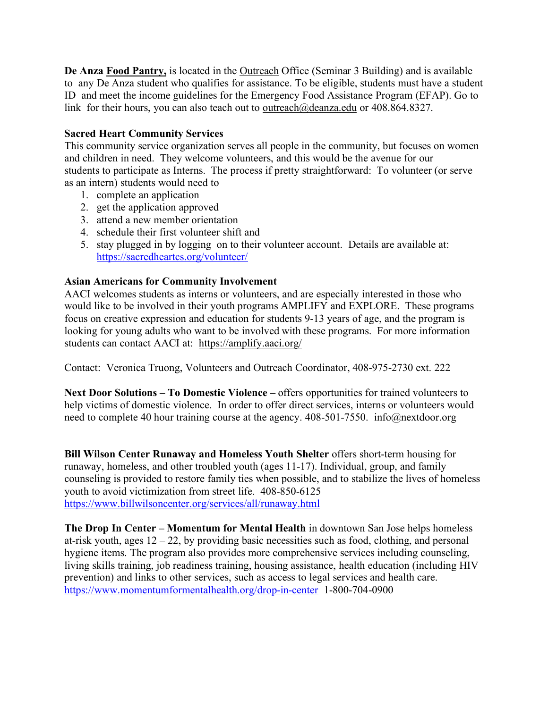**De Anza Food Pantry,** is located in the Outreach Office (Seminar 3 Building) and is available to any De Anza student who qualifies for assistance. To be eligible, students must have a student ID and meet the income guidelines for the Emergency Food Assistance Program (EFAP). Go to link for their hours, you can also teach out to <u>outreach@deanza.edu</u> or 408.864.8327.

# **Sacred Heart Community Services**

This community service organization serves all people in the community, but focuses on women and children in need. They welcome volunteers, and this would be the avenue for our students to participate as Interns. The process if pretty straightforward: To volunteer (or serve as an intern) students would need to

- 1. complete an application
- 2. get the application approved
- 3. attend a new member orientation
- 4. schedule their first volunteer shift and
- 5. stay plugged in by logging on to their volunteer account. Details are available at: https://sacredheartcs.org/volunteer/

# **Asian Americans for Community Involvement**

AACI welcomes students as interns or volunteers, and are especially interested in those who would like to be involved in their youth programs AMPLIFY and EXPLORE. These programs focus on creative expression and education for students 9-13 years of age, and the program is looking for young adults who want to be involved with these programs. For more information students can contact AACI at: https://amplify.aaci.org/

Contact: Veronica Truong, Volunteers and Outreach Coordinator, 408-975-2730 ext. 222

**Next Door Solutions – To Domestic Violence –** offers opportunities for trained volunteers to help victims of domestic violence. In order to offer direct services, interns or volunteers would need to complete 40 hour training course at the agency. 408-501-7550. info@nextdoor.org

**Bill Wilson Center Runaway and Homeless Youth Shelter** offers short-term housing for runaway, homeless, and other troubled youth (ages 11-17). Individual, group, and family counseling is provided to restore family ties when possible, and to stabilize the lives of homeless youth to avoid victimization from street life. 408-850-6125 https://www.billwilsoncenter.org/services/all/runaway.html

**The Drop In Center – Momentum for Mental Health** in downtown San Jose helps homeless at-risk youth, ages  $12 - 22$ , by providing basic necessities such as food, clothing, and personal hygiene items. The program also provides more comprehensive services including counseling, living skills training, job readiness training, housing assistance, health education (including HIV prevention) and links to other services, such as access to legal services and health care. https://www.momentumformentalhealth.org/drop-in-center 1-800-704-0900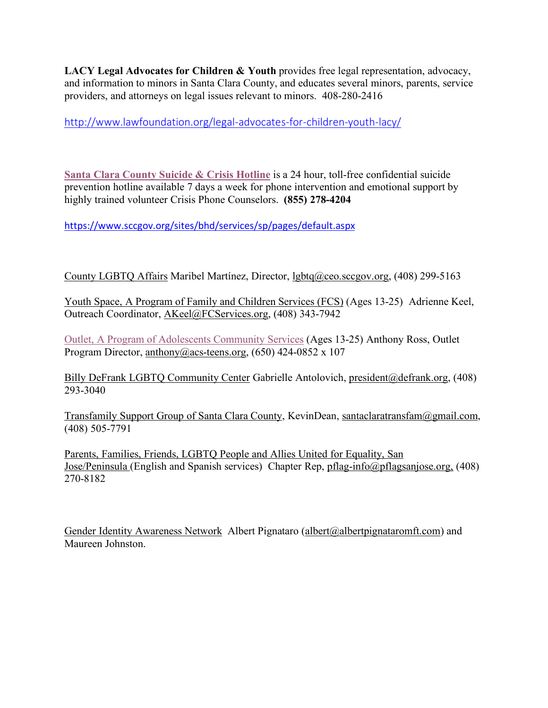**LACY Legal Advocates for Children & Youth** provides free legal representation, advocacy, and information to minors in Santa Clara County, and educates several minors, parents, service providers, and attorneys on legal issues relevant to minors. 408-280-2416

http://www.lawfoundation.org/legal-advocates-for-children-youth-lacy/

**Santa Clara County Suicide & Crisis Hotline** is a 24 hour, toll-free confidential suicide prevention hotline available 7 days a week for phone intervention and emotional support by highly trained volunteer Crisis Phone Counselors. **(855) 278-4204**

https://www.sccgov.org/sites/bhd/services/sp/pages/default.aspx

County LGBTQ Affairs Maribel Martínez, Director, lgbtq@ceo.sccgov.org, (408) 299-5163

Youth Space, A Program of Family and Children Services (FCS) (Ages 13-25) Adrienne Keel, Outreach Coordinator, AKeel@FCServices.org, (408) 343-7942

Outlet, A Program of Adolescents Community Services (Ages 13-25) Anthony Ross, Outlet Program Director, anthony@acs-teens.org, (650) 424-0852 x 107

Billy DeFrank LGBTQ Community Center Gabrielle Antolovich, president@defrank.org, (408) 293-3040

Transfamily Support Group of Santa Clara County, KevinDean, santaclaratransfam@gmail.com, (408) 505-7791

Parents, Families, Friends, LGBTQ People and Allies United for Equality, San Jose/Peninsula (English and Spanish services) Chapter Rep, pflag-info@pflagsanjose.org, (408) 270-8182

Gender Identity Awareness Network Albert Pignataro (albert@albertpignataromft.com) and Maureen Johnston.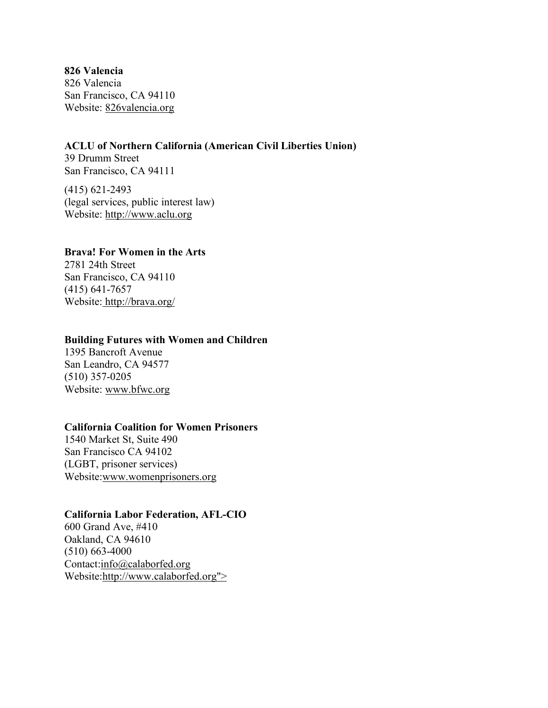**826 Valencia** 826 Valencia San Francisco, CA 94110 Website: 826valencia.org

#### **ACLU of Northern California (American Civil Liberties Union)**

39 Drumm Street San Francisco, CA 94111

(415) 621-2493 (legal services, public interest law) Website: http://www.aclu.org

#### **Brava! For Women in the Arts**

2781 24th Street San Francisco, CA 94110 (415) 641-7657 Website: http://brava.org/

#### **Building Futures with Women and Children**

1395 Bancroft Avenue San Leandro, CA 94577 (510) 357-0205 Website: www.bfwc.org

#### **California Coalition for Women Prisoners**

1540 Market St, Suite 490 San Francisco CA 94102 (LGBT, prisoner services) Website:www.womenprisoners.org

### **California Labor Federation, AFL-CIO**

600 Grand Ave, #410 Oakland, CA 94610 (510) 663-4000 Contact:info@calaborfed.org Website:http://www.calaborfed.org">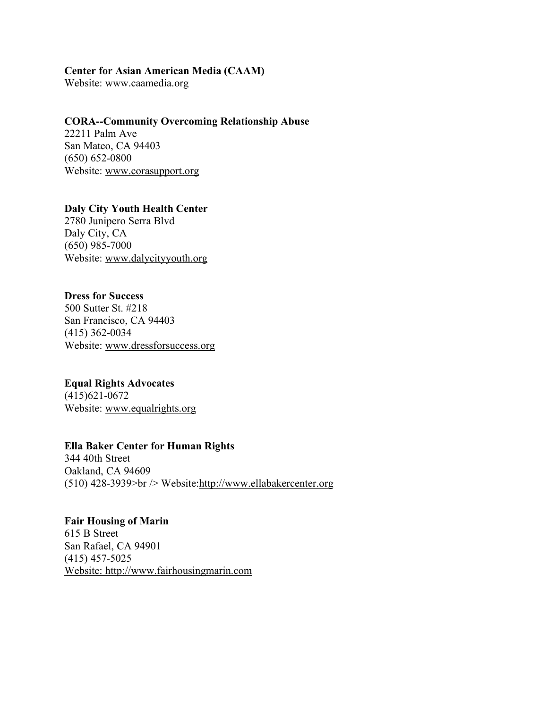#### **Center for Asian American Media (CAAM)**

Website: www.caamedia.org

## **CORA--Community Overcoming Relationship Abuse**

22211 Palm Ave San Mateo, CA 94403 (650) 652-0800 Website: www.corasupport.org

## **Daly City Youth Health Center** 2780 Junipero Serra Blvd Daly City, CA

(650) 985-7000 Website: www.dalycityyouth.org

# **Dress for Success**

500 Sutter St. #218 San Francisco, CA 94403 (415) 362-0034 Website: www.dressforsuccess.org

# **Equal Rights Advocates**

(415)621-0672 Website: www.equalrights.org

### **Ella Baker Center for Human Rights**

344 40th Street Oakland, CA 94609 (510) 428-3939>br /> Website:http://www.ellabakercenter.org

# **Fair Housing of Marin**

615 B Street San Rafael, CA 94901 (415) 457-5025 Website: http://www.fairhousingmarin.com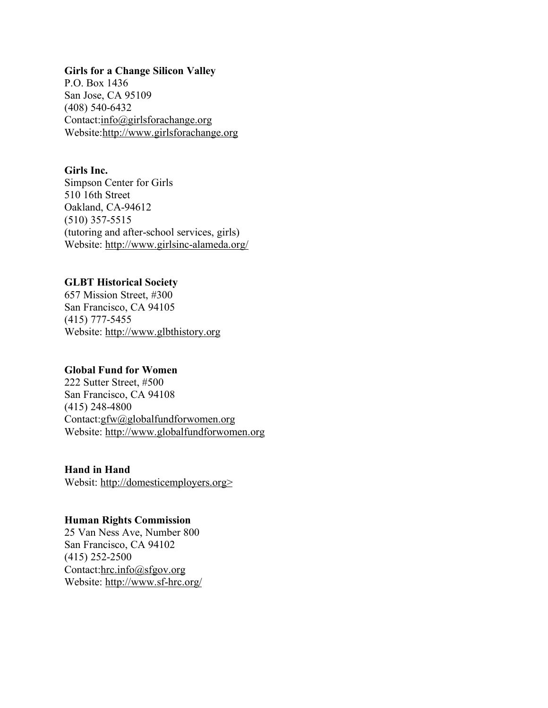#### **Girls for a Change Silicon Valley**

P.O. Box 1436 San Jose, CA 95109 (408) 540-6432 Contact:info@girlsforachange.org Website:http://www.girlsforachange.org

#### **Girls Inc.**

Simpson Center for Girls 510 16th Street Oakland, CA-94612 (510) 357-5515 (tutoring and after-school services, girls) Website: http://www.girlsinc-alameda.org/

### **GLBT Historical Society**

657 Mission Street, #300 San Francisco, CA 94105 (415) 777-5455 Website: http://www.glbthistory.org

#### **Global Fund for Women**

222 Sutter Street, #500 San Francisco, CA 94108 (415) 248-4800 Contact:gfw@globalfundforwomen.org Website: http://www.globalfundforwomen.org

**Hand in Hand** Websit: http://domesticemployers.org>

#### **Human Rights Commission**

25 Van Ness Ave, Number 800 San Francisco, CA 94102 (415) 252-2500 Contact:hrc.info@sfgov.org Website: http://www.sf-hrc.org/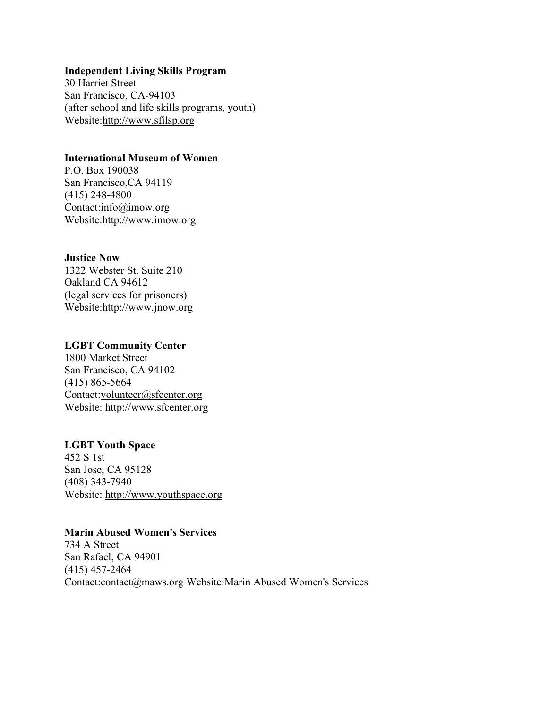#### **Independent Living Skills Program**

30 Harriet Street San Francisco, CA-94103 (after school and life skills programs, youth) Website:http://www.sfilsp.org

### **International Museum of Women**

P.O. Box 190038 San Francisco,CA 94119 (415) 248-4800 Contact:info@imow.org Website:http://www.imow.org

#### **Justice Now**

1322 Webster St. Suite 210 Oakland CA 94612 (legal services for prisoners) Website:http://www.jnow.org

## **LGBT Community Center**

1800 Market Street San Francisco, CA 94102 (415) 865-5664 Contact:volunteer@sfcenter.org Website: http://www.sfcenter.org

# **LGBT Youth Space**

452 S 1st San Jose, CA 95128 (408) 343-7940 Website: http://www.youthspace.org

#### **Marin Abused Women's Services**

734 A Street San Rafael, CA 94901 (415) 457-2464 Contact:contact@maws.org Website:Marin Abused Women's Services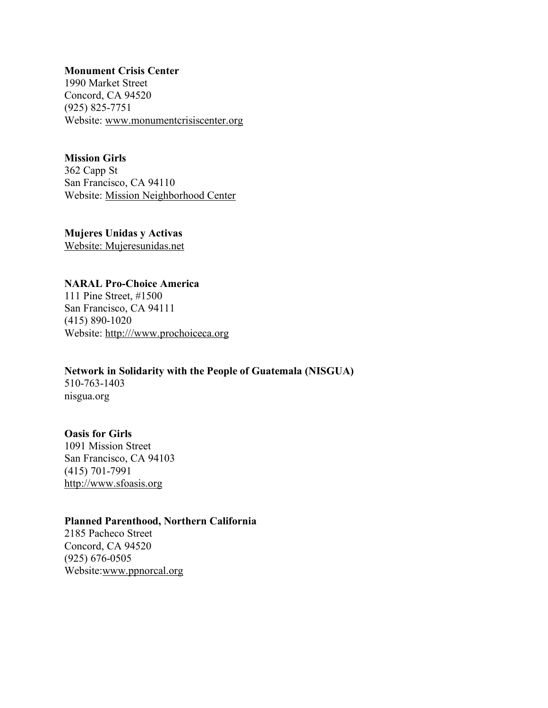#### **Monument Crisis Center**

1990 Market Street Concord, CA 94520 (925) 825-7751 Website: www.monumentcrisiscenter.org

### **Mission Girls**

362 Capp St San Francisco, CA 94110 Website: Mission Neighborhood Center

**Mujeres Unidas y Activas** Website: Mujeresunidas.net

# **NARAL Pro-Choice America**

111 Pine Street, #1500 San Francisco, CA 94111 (415) 890-1020 Website: http:///www.prochoiceca.org

**Network in Solidarity with the People of Guatemala (NISGUA)** 510-763-1403 nisgua.org

## **Oasis for Girls**

1091 Mission Street San Francisco, CA 94103 (415) 701-7991 http://www.sfoasis.org

### **Planned Parenthood, Northern California**

2185 Pacheco Street Concord, CA 94520 (925) 676-0505 Website:www.ppnorcal.org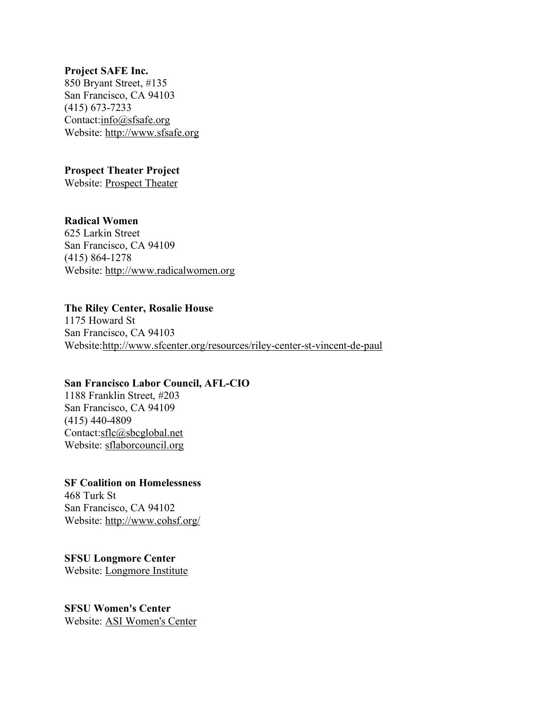#### **Project SAFE Inc.**

850 Bryant Street, #135 San Francisco, CA 94103 (415) 673-7233 Contact:info@sfsafe.org Website: http://www.sfsafe.org

# **Prospect Theater Project**

Website: Prospect Theater

# **Radical Women**

625 Larkin Street San Francisco, CA 94109 (415) 864-1278 Website: http://www.radicalwomen.org

## **The Riley Center, Rosalie House**

1175 Howard St San Francisco, CA 94103 Website:http://www.sfcenter.org/resources/riley-center-st-vincent-de-paul

### **San Francisco Labor Council, AFL-CIO**

1188 Franklin Street, #203 San Francisco, CA 94109 (415) 440-4809 Contact:sflc@sbcglobal.net Website: sflaborcouncil.org

**SF Coalition on Homelessness** 468 Turk St San Francisco, CA 94102 Website: http://www.cohsf.org/

**SFSU Longmore Center** Website: Longmore Institute

**SFSU Women's Center** Website: ASI Women's Center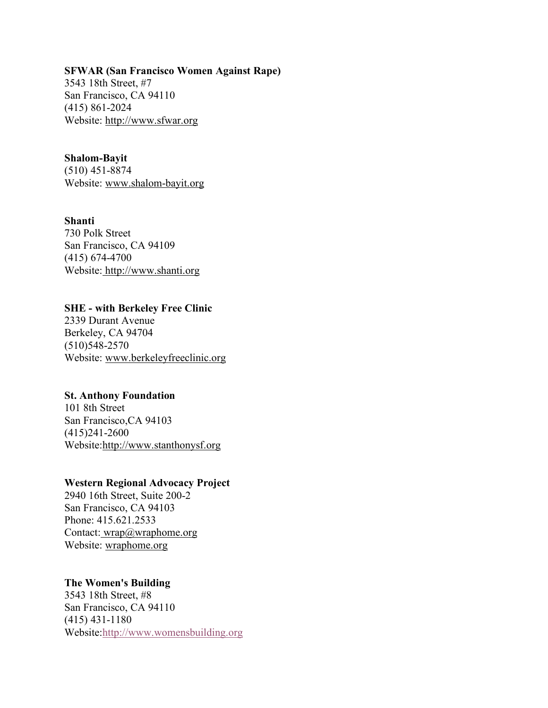#### **SFWAR (San Francisco Women Against Rape)**

3543 18th Street, #7 San Francisco, CA 94110 (415) 861-2024 Website: http://www.sfwar.org

#### **Shalom-Bayit**

(510) 451-8874 Website: www.shalom-bayit.org

### **Shanti**

730 Polk Street San Francisco, CA 94109 (415) 674-4700 Website: http://www.shanti.org

#### **SHE - with Berkeley Free Clinic**

2339 Durant Avenue Berkeley, CA 94704 (510)548-2570 Website: www.berkeleyfreeclinic.org

# **St. Anthony Foundation**

101 8th Street San Francisco,CA 94103 (415)241-2600 Website:http://www.stanthonysf.org

# **Western Regional Advocacy Project**

2940 16th Street, Suite 200-2 San Francisco, CA 94103 Phone: 415.621.2533 Contact: wrap@wraphome.org Website: wraphome.org

### **The Women's Building**

3543 18th Street, #8 San Francisco, CA 94110 (415) 431-1180 Website:http://www.womensbuilding.org